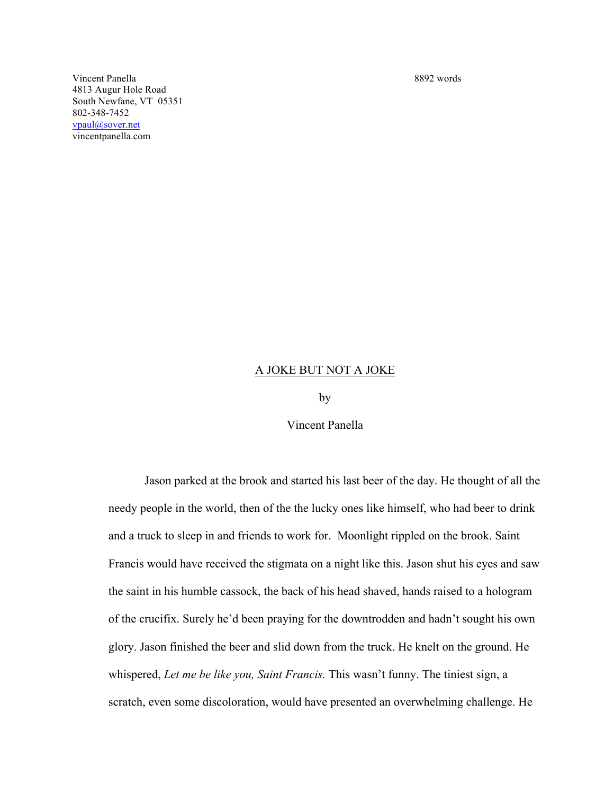Vincent Panella 8892 words 4813 Augur Hole Road South Newfane, VT 05351 802-348-7452 vpaul@sover.net vincentpanella.com

## A JOKE BUT NOT A JOKE

by

Vincent Panella

Jason parked at the brook and started his last beer of the day. He thought of all the needy people in the world, then of the the lucky ones like himself, who had beer to drink and a truck to sleep in and friends to work for. Moonlight rippled on the brook. Saint Francis would have received the stigmata on a night like this. Jason shut his eyes and saw the saint in his humble cassock, the back of his head shaved, hands raised to a hologram of the crucifix. Surely he'd been praying for the downtrodden and hadn't sought his own glory. Jason finished the beer and slid down from the truck. He knelt on the ground. He whispered, *Let me be like you, Saint Francis.* This wasn't funny. The tiniest sign, a scratch, even some discoloration, would have presented an overwhelming challenge. He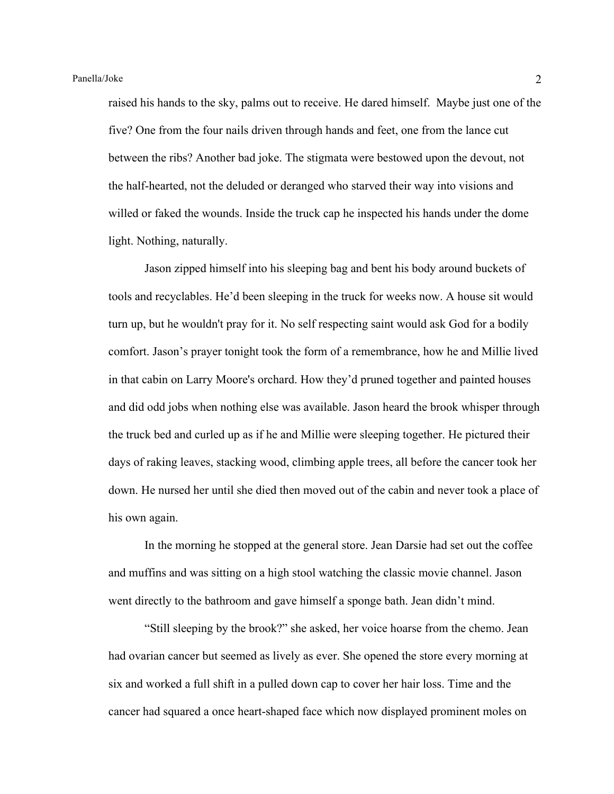raised his hands to the sky, palms out to receive. He dared himself. Maybe just one of the five? One from the four nails driven through hands and feet, one from the lance cut between the ribs? Another bad joke. The stigmata were bestowed upon the devout, not the half-hearted, not the deluded or deranged who starved their way into visions and willed or faked the wounds. Inside the truck cap he inspected his hands under the dome light. Nothing, naturally.

Jason zipped himself into his sleeping bag and bent his body around buckets of tools and recyclables. He'd been sleeping in the truck for weeks now. A house sit would turn up, but he wouldn't pray for it. No self respecting saint would ask God for a bodily comfort. Jason's prayer tonight took the form of a remembrance, how he and Millie lived in that cabin on Larry Moore's orchard. How they'd pruned together and painted houses and did odd jobs when nothing else was available. Jason heard the brook whisper through the truck bed and curled up as if he and Millie were sleeping together. He pictured their days of raking leaves, stacking wood, climbing apple trees, all before the cancer took her down. He nursed her until she died then moved out of the cabin and never took a place of his own again.

In the morning he stopped at the general store. Jean Darsie had set out the coffee and muffins and was sitting on a high stool watching the classic movie channel. Jason went directly to the bathroom and gave himself a sponge bath. Jean didn't mind.

"Still sleeping by the brook?" she asked, her voice hoarse from the chemo. Jean had ovarian cancer but seemed as lively as ever. She opened the store every morning at six and worked a full shift in a pulled down cap to cover her hair loss. Time and the cancer had squared a once heart-shaped face which now displayed prominent moles on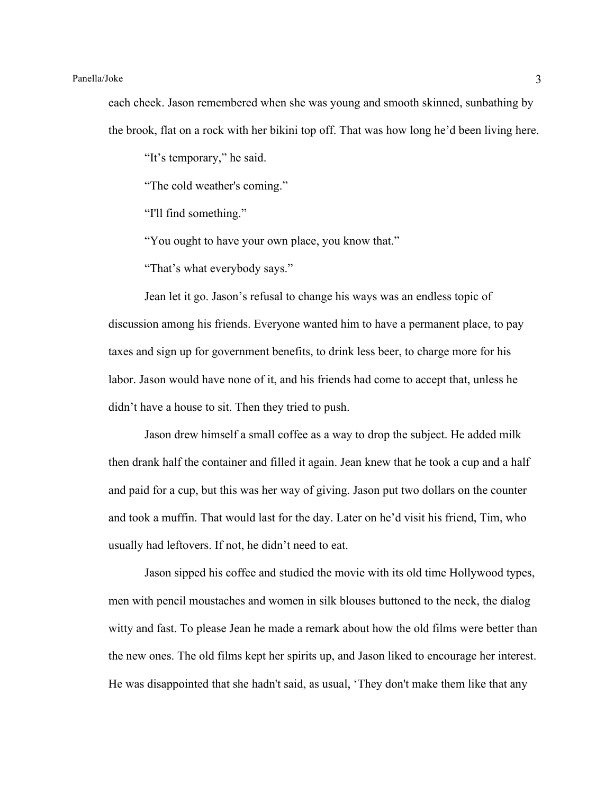each cheek. Jason remembered when she was young and smooth skinned, sunbathing by the brook, flat on a rock with her bikini top off. That was how long he'd been living here.

"It's temporary," he said.

"The cold weather's coming."

"I'll find something."

"You ought to have your own place, you know that."

"That's what everybody says."

Jean let it go. Jason's refusal to change his ways was an endless topic of discussion among his friends. Everyone wanted him to have a permanent place, to pay taxes and sign up for government benefits, to drink less beer, to charge more for his labor. Jason would have none of it, and his friends had come to accept that, unless he didn't have a house to sit. Then they tried to push.

Jason drew himself a small coffee as a way to drop the subject. He added milk then drank half the container and filled it again. Jean knew that he took a cup and a half and paid for a cup, but this was her way of giving. Jason put two dollars on the counter and took a muffin. That would last for the day. Later on he'd visit his friend, Tim, who usually had leftovers. If not, he didn't need to eat.

Jason sipped his coffee and studied the movie with its old time Hollywood types, men with pencil moustaches and women in silk blouses buttoned to the neck, the dialog witty and fast. To please Jean he made a remark about how the old films were better than the new ones. The old films kept her spirits up, and Jason liked to encourage her interest. He was disappointed that she hadn't said, as usual, 'They don't make them like that any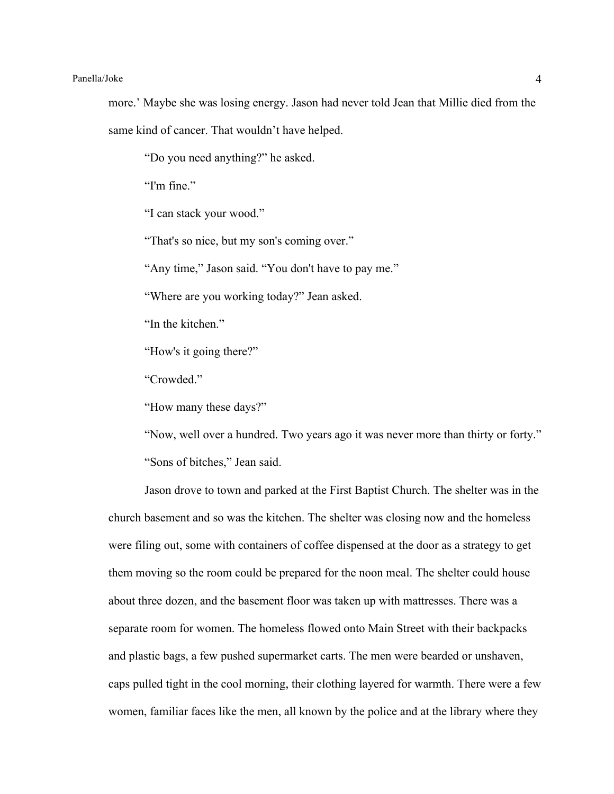more.' Maybe she was losing energy. Jason had never told Jean that Millie died from the same kind of cancer. That wouldn't have helped.

"Do you need anything?" he asked.

"I'm fine"

"I can stack your wood."

"That's so nice, but my son's coming over."

"Any time," Jason said. "You don't have to pay me."

"Where are you working today?" Jean asked.

"In the kitchen."

"How's it going there?"

"Crowded."

"How many these days?"

"Now, well over a hundred. Two years ago it was never more than thirty or forty." "Sons of bitches," Jean said.

Jason drove to town and parked at the First Baptist Church. The shelter was in the church basement and so was the kitchen. The shelter was closing now and the homeless were filing out, some with containers of coffee dispensed at the door as a strategy to get them moving so the room could be prepared for the noon meal. The shelter could house about three dozen, and the basement floor was taken up with mattresses. There was a separate room for women. The homeless flowed onto Main Street with their backpacks and plastic bags, a few pushed supermarket carts. The men were bearded or unshaven, caps pulled tight in the cool morning, their clothing layered for warmth. There were a few women, familiar faces like the men, all known by the police and at the library where they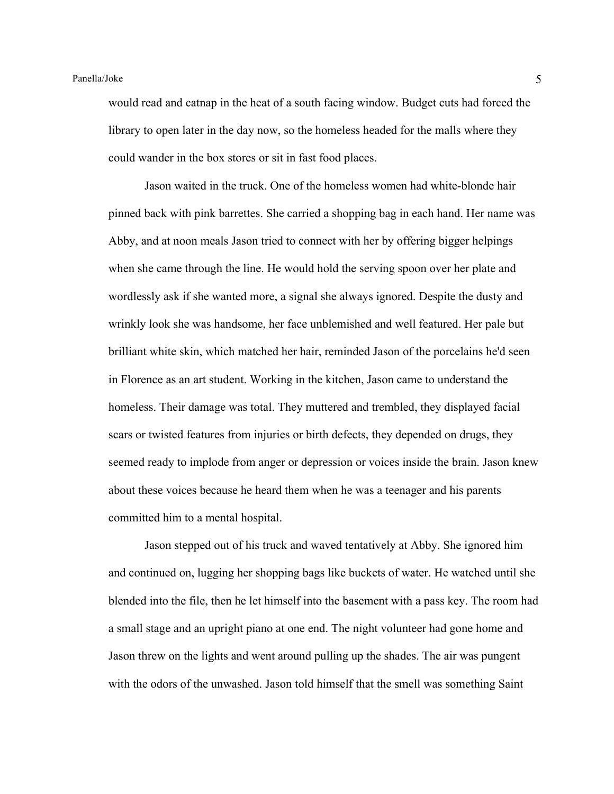would read and catnap in the heat of a south facing window. Budget cuts had forced the library to open later in the day now, so the homeless headed for the malls where they could wander in the box stores or sit in fast food places.

Jason waited in the truck. One of the homeless women had white-blonde hair pinned back with pink barrettes. She carried a shopping bag in each hand. Her name was Abby, and at noon meals Jason tried to connect with her by offering bigger helpings when she came through the line. He would hold the serving spoon over her plate and wordlessly ask if she wanted more, a signal she always ignored. Despite the dusty and wrinkly look she was handsome, her face unblemished and well featured. Her pale but brilliant white skin, which matched her hair, reminded Jason of the porcelains he'd seen in Florence as an art student. Working in the kitchen, Jason came to understand the homeless. Their damage was total. They muttered and trembled, they displayed facial scars or twisted features from injuries or birth defects, they depended on drugs, they seemed ready to implode from anger or depression or voices inside the brain. Jason knew about these voices because he heard them when he was a teenager and his parents committed him to a mental hospital.

Jason stepped out of his truck and waved tentatively at Abby. She ignored him and continued on, lugging her shopping bags like buckets of water. He watched until she blended into the file, then he let himself into the basement with a pass key. The room had a small stage and an upright piano at one end. The night volunteer had gone home and Jason threw on the lights and went around pulling up the shades. The air was pungent with the odors of the unwashed. Jason told himself that the smell was something Saint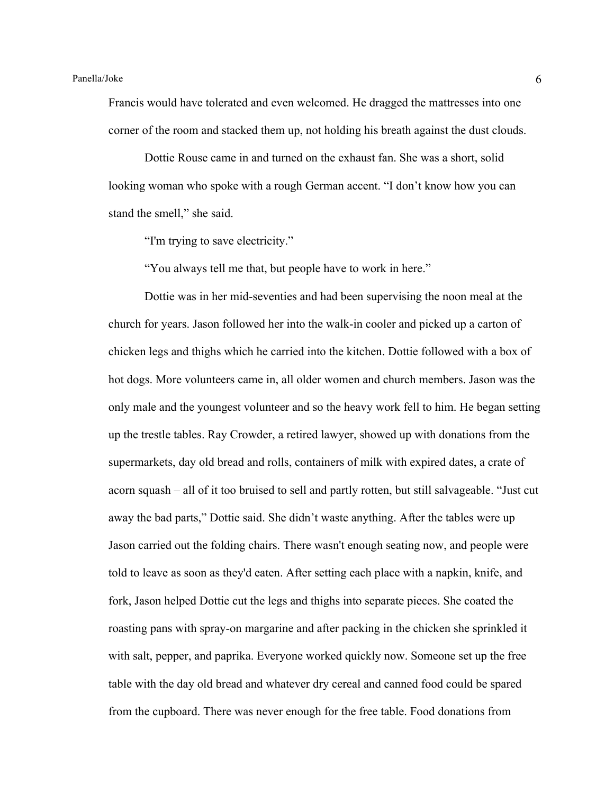Francis would have tolerated and even welcomed. He dragged the mattresses into one corner of the room and stacked them up, not holding his breath against the dust clouds.

Dottie Rouse came in and turned on the exhaust fan. She was a short, solid looking woman who spoke with a rough German accent. "I don't know how you can stand the smell," she said.

"I'm trying to save electricity."

"You always tell me that, but people have to work in here."

Dottie was in her mid-seventies and had been supervising the noon meal at the church for years. Jason followed her into the walk-in cooler and picked up a carton of chicken legs and thighs which he carried into the kitchen. Dottie followed with a box of hot dogs. More volunteers came in, all older women and church members. Jason was the only male and the youngest volunteer and so the heavy work fell to him. He began setting up the trestle tables. Ray Crowder, a retired lawyer, showed up with donations from the supermarkets, day old bread and rolls, containers of milk with expired dates, a crate of acorn squash – all of it too bruised to sell and partly rotten, but still salvageable. "Just cut away the bad parts," Dottie said. She didn't waste anything. After the tables were up Jason carried out the folding chairs. There wasn't enough seating now, and people were told to leave as soon as they'd eaten. After setting each place with a napkin, knife, and fork, Jason helped Dottie cut the legs and thighs into separate pieces. She coated the roasting pans with spray-on margarine and after packing in the chicken she sprinkled it with salt, pepper, and paprika. Everyone worked quickly now. Someone set up the free table with the day old bread and whatever dry cereal and canned food could be spared from the cupboard. There was never enough for the free table. Food donations from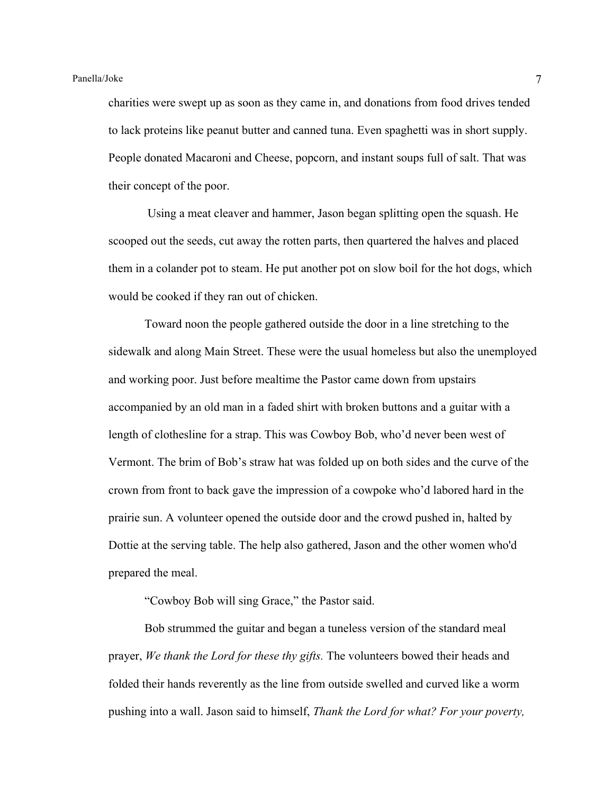charities were swept up as soon as they came in, and donations from food drives tended to lack proteins like peanut butter and canned tuna. Even spaghetti was in short supply. People donated Macaroni and Cheese, popcorn, and instant soups full of salt. That was their concept of the poor.

Using a meat cleaver and hammer, Jason began splitting open the squash. He scooped out the seeds, cut away the rotten parts, then quartered the halves and placed them in a colander pot to steam. He put another pot on slow boil for the hot dogs, which would be cooked if they ran out of chicken.

Toward noon the people gathered outside the door in a line stretching to the sidewalk and along Main Street. These were the usual homeless but also the unemployed and working poor. Just before mealtime the Pastor came down from upstairs accompanied by an old man in a faded shirt with broken buttons and a guitar with a length of clothesline for a strap. This was Cowboy Bob, who'd never been west of Vermont. The brim of Bob's straw hat was folded up on both sides and the curve of the crown from front to back gave the impression of a cowpoke who'd labored hard in the prairie sun. A volunteer opened the outside door and the crowd pushed in, halted by Dottie at the serving table. The help also gathered, Jason and the other women who'd prepared the meal.

"Cowboy Bob will sing Grace," the Pastor said.

Bob strummed the guitar and began a tuneless version of the standard meal prayer, *We thank the Lord for these thy gifts.* The volunteers bowed their heads and folded their hands reverently as the line from outside swelled and curved like a worm pushing into a wall. Jason said to himself, *Thank the Lord for what? For your poverty,*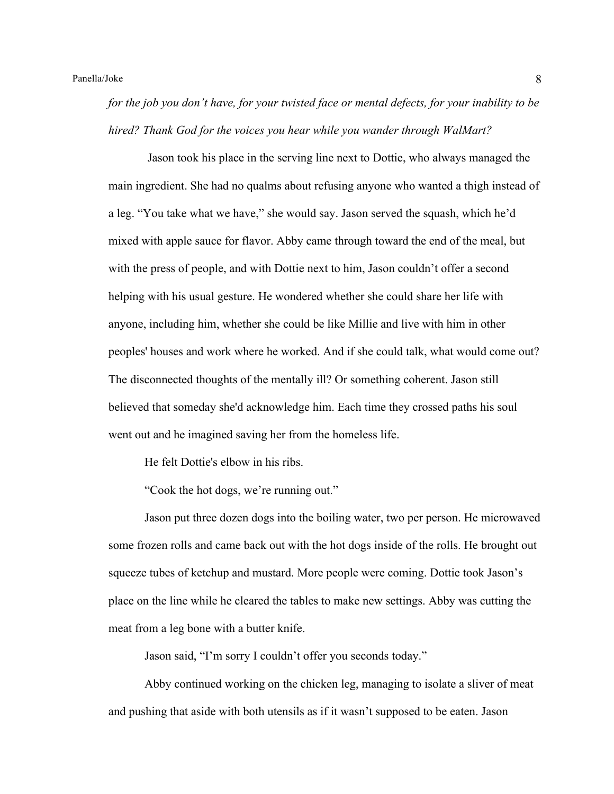*for the job you don't have, for your twisted face or mental defects, for your inability to be hired? Thank God for the voices you hear while you wander through WalMart?* 

Jason took his place in the serving line next to Dottie, who always managed the main ingredient. She had no qualms about refusing anyone who wanted a thigh instead of a leg. "You take what we have," she would say. Jason served the squash, which he'd mixed with apple sauce for flavor. Abby came through toward the end of the meal, but with the press of people, and with Dottie next to him, Jason couldn't offer a second helping with his usual gesture. He wondered whether she could share her life with anyone, including him, whether she could be like Millie and live with him in other peoples' houses and work where he worked. And if she could talk, what would come out? The disconnected thoughts of the mentally ill? Or something coherent. Jason still believed that someday she'd acknowledge him. Each time they crossed paths his soul went out and he imagined saving her from the homeless life.

He felt Dottie's elbow in his ribs.

"Cook the hot dogs, we're running out."

Jason put three dozen dogs into the boiling water, two per person. He microwaved some frozen rolls and came back out with the hot dogs inside of the rolls. He brought out squeeze tubes of ketchup and mustard. More people were coming. Dottie took Jason's place on the line while he cleared the tables to make new settings. Abby was cutting the meat from a leg bone with a butter knife.

Jason said, "I'm sorry I couldn't offer you seconds today."

Abby continued working on the chicken leg, managing to isolate a sliver of meat and pushing that aside with both utensils as if it wasn't supposed to be eaten. Jason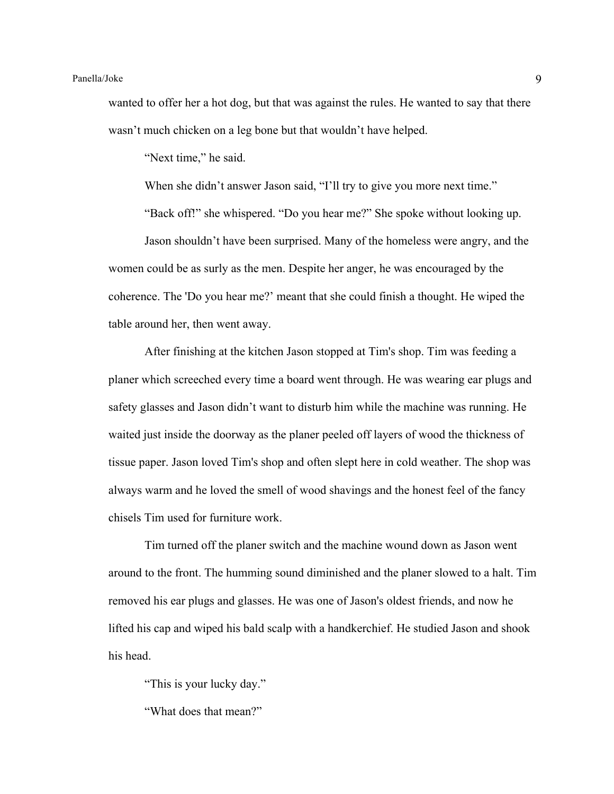wanted to offer her a hot dog, but that was against the rules. He wanted to say that there wasn't much chicken on a leg bone but that wouldn't have helped.

"Next time," he said.

When she didn't answer Jason said, "I'll try to give you more next time."

"Back off!" she whispered. "Do you hear me?" She spoke without looking up. Jason shouldn't have been surprised. Many of the homeless were angry, and the women could be as surly as the men. Despite her anger, he was encouraged by the coherence. The 'Do you hear me?' meant that she could finish a thought. He wiped the table around her, then went away.

After finishing at the kitchen Jason stopped at Tim's shop. Tim was feeding a planer which screeched every time a board went through. He was wearing ear plugs and safety glasses and Jason didn't want to disturb him while the machine was running. He waited just inside the doorway as the planer peeled off layers of wood the thickness of tissue paper. Jason loved Tim's shop and often slept here in cold weather. The shop was always warm and he loved the smell of wood shavings and the honest feel of the fancy chisels Tim used for furniture work.

Tim turned off the planer switch and the machine wound down as Jason went around to the front. The humming sound diminished and the planer slowed to a halt. Tim removed his ear plugs and glasses. He was one of Jason's oldest friends, and now he lifted his cap and wiped his bald scalp with a handkerchief. He studied Jason and shook his head.

"This is your lucky day."

"What does that mean?"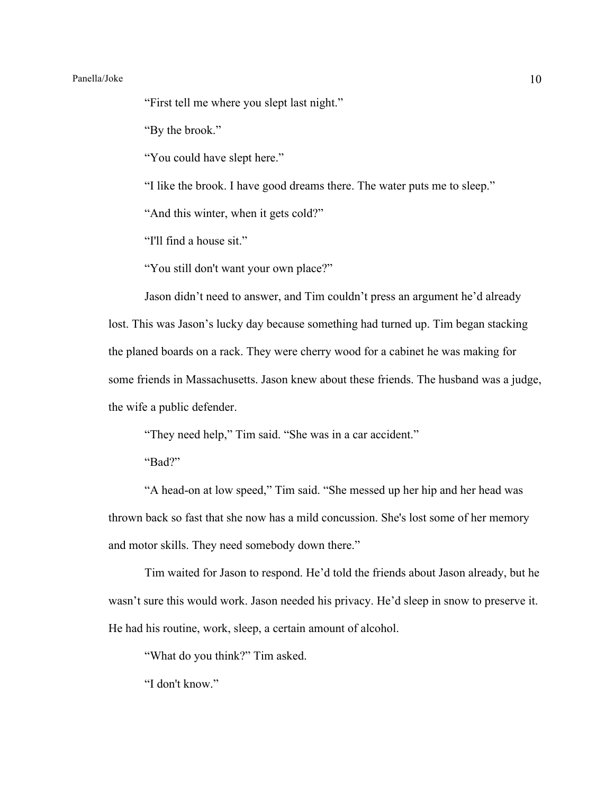# Panella/Joke 10

"First tell me where you slept last night."

"By the brook."

"You could have slept here."

"I like the brook. I have good dreams there. The water puts me to sleep."

"And this winter, when it gets cold?"

"I'll find a house sit."

"You still don't want your own place?"

Jason didn't need to answer, and Tim couldn't press an argument he'd already lost. This was Jason's lucky day because something had turned up. Tim began stacking the planed boards on a rack. They were cherry wood for a cabinet he was making for some friends in Massachusetts. Jason knew about these friends. The husband was a judge, the wife a public defender.

"They need help," Tim said. "She was in a car accident."

"Bad?"

"A head-on at low speed," Tim said. "She messed up her hip and her head was thrown back so fast that she now has a mild concussion. She's lost some of her memory and motor skills. They need somebody down there."

Tim waited for Jason to respond. He'd told the friends about Jason already, but he wasn't sure this would work. Jason needed his privacy. He'd sleep in snow to preserve it. He had his routine, work, sleep, a certain amount of alcohol.

"What do you think?" Tim asked.

"I don't know."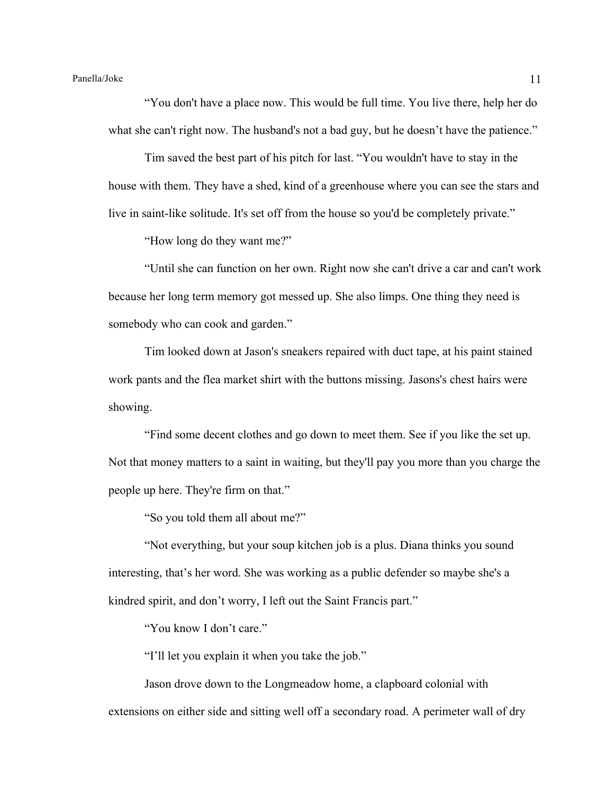"You don't have a place now. This would be full time. You live there, help her do what she can't right now. The husband's not a bad guy, but he doesn't have the patience."

Tim saved the best part of his pitch for last. "You wouldn't have to stay in the house with them. They have a shed, kind of a greenhouse where you can see the stars and live in saint-like solitude. It's set off from the house so you'd be completely private."

"How long do they want me?"

"Until she can function on her own. Right now she can't drive a car and can't work because her long term memory got messed up. She also limps. One thing they need is somebody who can cook and garden."

Tim looked down at Jason's sneakers repaired with duct tape, at his paint stained work pants and the flea market shirt with the buttons missing. Jasons's chest hairs were showing.

"Find some decent clothes and go down to meet them. See if you like the set up. Not that money matters to a saint in waiting, but they'll pay you more than you charge the people up here. They're firm on that."

"So you told them all about me?"

"Not everything, but your soup kitchen job is a plus. Diana thinks you sound interesting, that's her word. She was working as a public defender so maybe she's a kindred spirit, and don't worry, I left out the Saint Francis part."

"You know I don't care."

"I'll let you explain it when you take the job."

Jason drove down to the Longmeadow home, a clapboard colonial with extensions on either side and sitting well off a secondary road. A perimeter wall of dry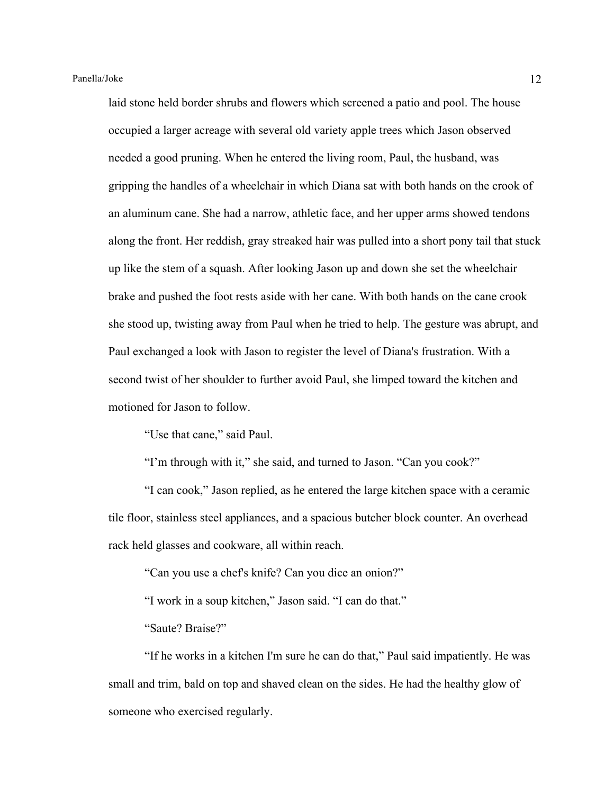laid stone held border shrubs and flowers which screened a patio and pool. The house occupied a larger acreage with several old variety apple trees which Jason observed needed a good pruning. When he entered the living room, Paul, the husband, was gripping the handles of a wheelchair in which Diana sat with both hands on the crook of an aluminum cane. She had a narrow, athletic face, and her upper arms showed tendons along the front. Her reddish, gray streaked hair was pulled into a short pony tail that stuck up like the stem of a squash. After looking Jason up and down she set the wheelchair brake and pushed the foot rests aside with her cane. With both hands on the cane crook she stood up, twisting away from Paul when he tried to help. The gesture was abrupt, and Paul exchanged a look with Jason to register the level of Diana's frustration. With a second twist of her shoulder to further avoid Paul, she limped toward the kitchen and motioned for Jason to follow.

"Use that cane," said Paul.

"I'm through with it," she said, and turned to Jason. "Can you cook?"

"I can cook," Jason replied, as he entered the large kitchen space with a ceramic tile floor, stainless steel appliances, and a spacious butcher block counter. An overhead rack held glasses and cookware, all within reach.

"Can you use a chef's knife? Can you dice an onion?"

"I work in a soup kitchen," Jason said. "I can do that."

"Saute? Braise?"

"If he works in a kitchen I'm sure he can do that," Paul said impatiently. He was small and trim, bald on top and shaved clean on the sides. He had the healthy glow of someone who exercised regularly.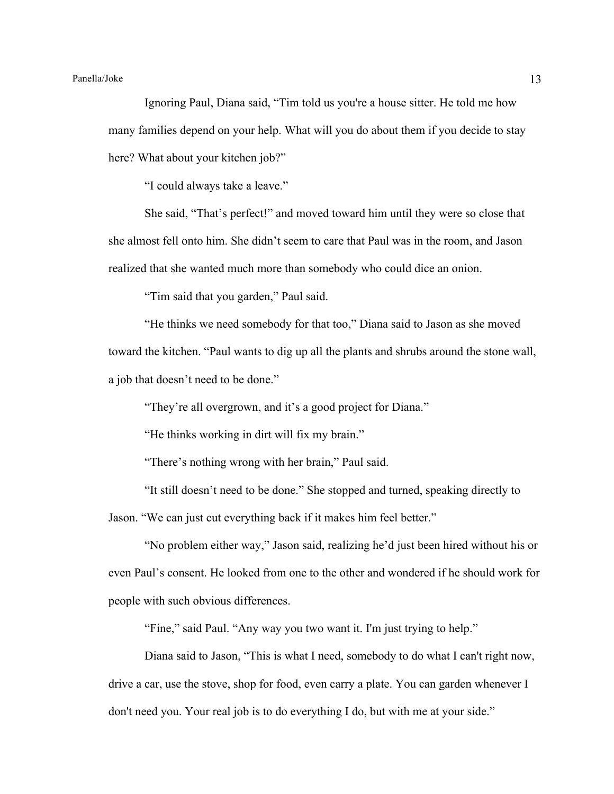# Panella/Joke 13

Ignoring Paul, Diana said, "Tim told us you're a house sitter. He told me how many families depend on your help. What will you do about them if you decide to stay here? What about your kitchen job?"

"I could always take a leave."

She said, "That's perfect!" and moved toward him until they were so close that she almost fell onto him. She didn't seem to care that Paul was in the room, and Jason realized that she wanted much more than somebody who could dice an onion.

"Tim said that you garden," Paul said.

"He thinks we need somebody for that too," Diana said to Jason as she moved toward the kitchen. "Paul wants to dig up all the plants and shrubs around the stone wall, a job that doesn't need to be done."

"They're all overgrown, and it's a good project for Diana."

"He thinks working in dirt will fix my brain."

"There's nothing wrong with her brain," Paul said.

"It still doesn't need to be done." She stopped and turned, speaking directly to Jason. "We can just cut everything back if it makes him feel better."

"No problem either way," Jason said, realizing he'd just been hired without his or even Paul's consent. He looked from one to the other and wondered if he should work for people with such obvious differences.

"Fine," said Paul. "Any way you two want it. I'm just trying to help."

Diana said to Jason, "This is what I need, somebody to do what I can't right now, drive a car, use the stove, shop for food, even carry a plate. You can garden whenever I don't need you. Your real job is to do everything I do, but with me at your side."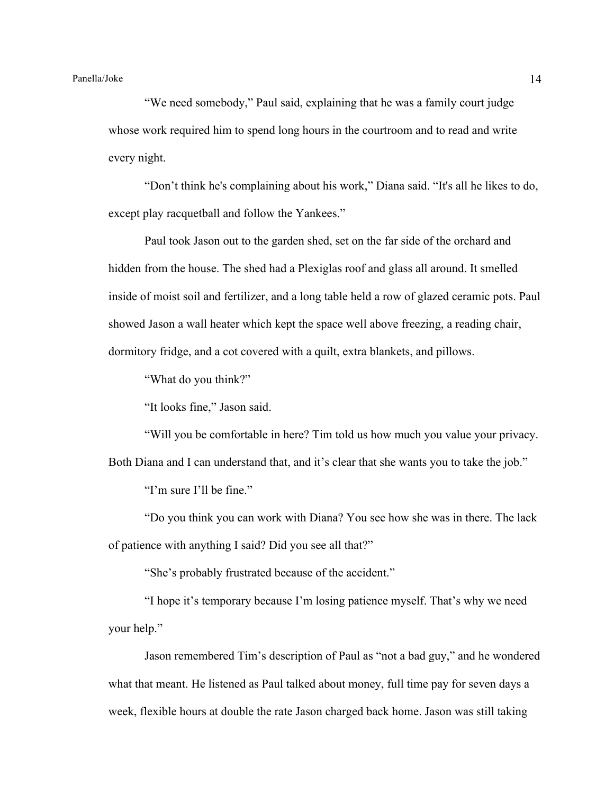"We need somebody," Paul said, explaining that he was a family court judge whose work required him to spend long hours in the courtroom and to read and write every night.

"Don't think he's complaining about his work," Diana said. "It's all he likes to do, except play racquetball and follow the Yankees."

Paul took Jason out to the garden shed, set on the far side of the orchard and hidden from the house. The shed had a Plexiglas roof and glass all around. It smelled inside of moist soil and fertilizer, and a long table held a row of glazed ceramic pots. Paul showed Jason a wall heater which kept the space well above freezing, a reading chair, dormitory fridge, and a cot covered with a quilt, extra blankets, and pillows.

"What do you think?"

"It looks fine," Jason said.

"Will you be comfortable in here? Tim told us how much you value your privacy.

Both Diana and I can understand that, and it's clear that she wants you to take the job."

"I'm sure I'll be fine."

"Do you think you can work with Diana? You see how she was in there. The lack of patience with anything I said? Did you see all that?"

"She's probably frustrated because of the accident."

"I hope it's temporary because I'm losing patience myself. That's why we need your help."

Jason remembered Tim's description of Paul as "not a bad guy," and he wondered what that meant. He listened as Paul talked about money, full time pay for seven days a week, flexible hours at double the rate Jason charged back home. Jason was still taking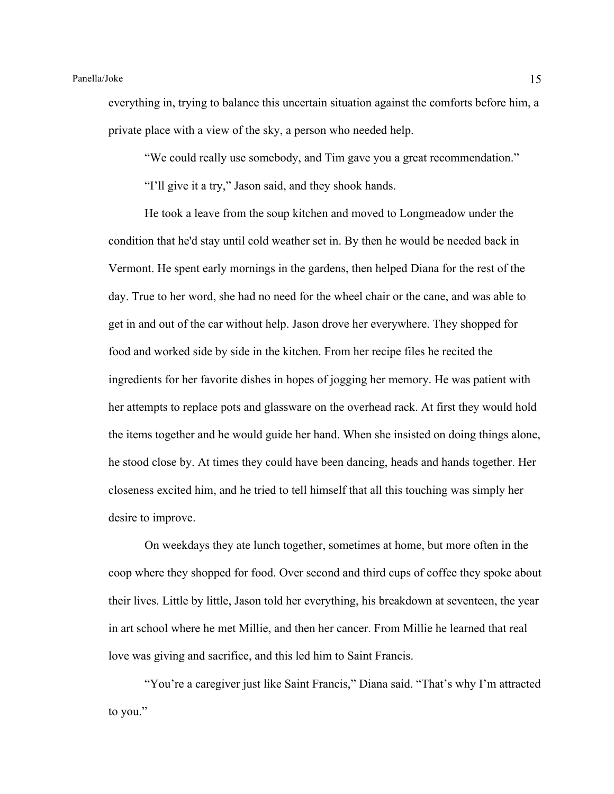everything in, trying to balance this uncertain situation against the comforts before him, a private place with a view of the sky, a person who needed help.

"We could really use somebody, and Tim gave you a great recommendation."

"I'll give it a try," Jason said, and they shook hands.

He took a leave from the soup kitchen and moved to Longmeadow under the condition that he'd stay until cold weather set in. By then he would be needed back in Vermont. He spent early mornings in the gardens, then helped Diana for the rest of the day. True to her word, she had no need for the wheel chair or the cane, and was able to get in and out of the car without help. Jason drove her everywhere. They shopped for food and worked side by side in the kitchen. From her recipe files he recited the ingredients for her favorite dishes in hopes of jogging her memory. He was patient with her attempts to replace pots and glassware on the overhead rack. At first they would hold the items together and he would guide her hand. When she insisted on doing things alone, he stood close by. At times they could have been dancing, heads and hands together. Her closeness excited him, and he tried to tell himself that all this touching was simply her desire to improve.

On weekdays they ate lunch together, sometimes at home, but more often in the coop where they shopped for food. Over second and third cups of coffee they spoke about their lives. Little by little, Jason told her everything, his breakdown at seventeen, the year in art school where he met Millie, and then her cancer. From Millie he learned that real love was giving and sacrifice, and this led him to Saint Francis.

"You're a caregiver just like Saint Francis," Diana said. "That's why I'm attracted to you."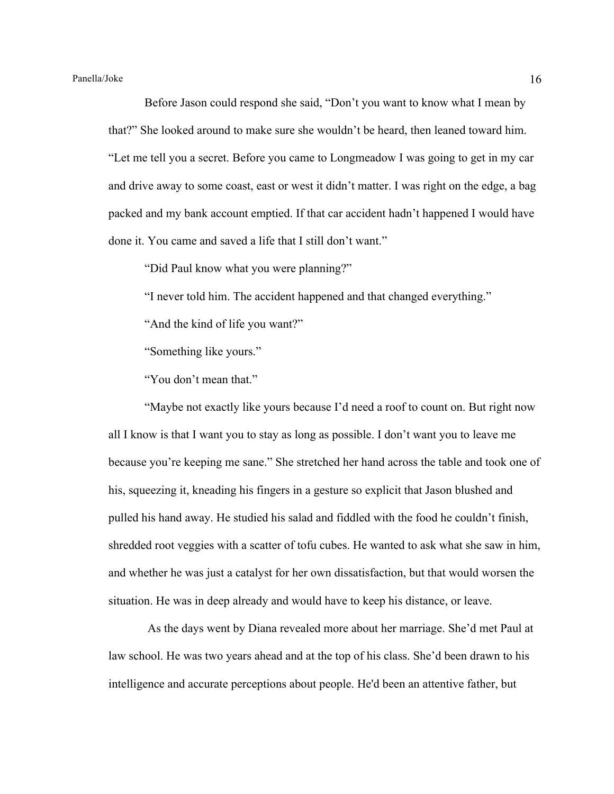Before Jason could respond she said, "Don't you want to know what I mean by that?" She looked around to make sure she wouldn't be heard, then leaned toward him. "Let me tell you a secret. Before you came to Longmeadow I was going to get in my car and drive away to some coast, east or west it didn't matter. I was right on the edge, a bag packed and my bank account emptied. If that car accident hadn't happened I would have done it. You came and saved a life that I still don't want."

"Did Paul know what you were planning?"

"I never told him. The accident happened and that changed everything."

"And the kind of life you want?"

"Something like yours."

"You don't mean that."

"Maybe not exactly like yours because I'd need a roof to count on. But right now all I know is that I want you to stay as long as possible. I don't want you to leave me because you're keeping me sane." She stretched her hand across the table and took one of his, squeezing it, kneading his fingers in a gesture so explicit that Jason blushed and pulled his hand away. He studied his salad and fiddled with the food he couldn't finish, shredded root veggies with a scatter of tofu cubes. He wanted to ask what she saw in him, and whether he was just a catalyst for her own dissatisfaction, but that would worsen the situation. He was in deep already and would have to keep his distance, or leave.

As the days went by Diana revealed more about her marriage. She'd met Paul at law school. He was two years ahead and at the top of his class. She'd been drawn to his intelligence and accurate perceptions about people. He'd been an attentive father, but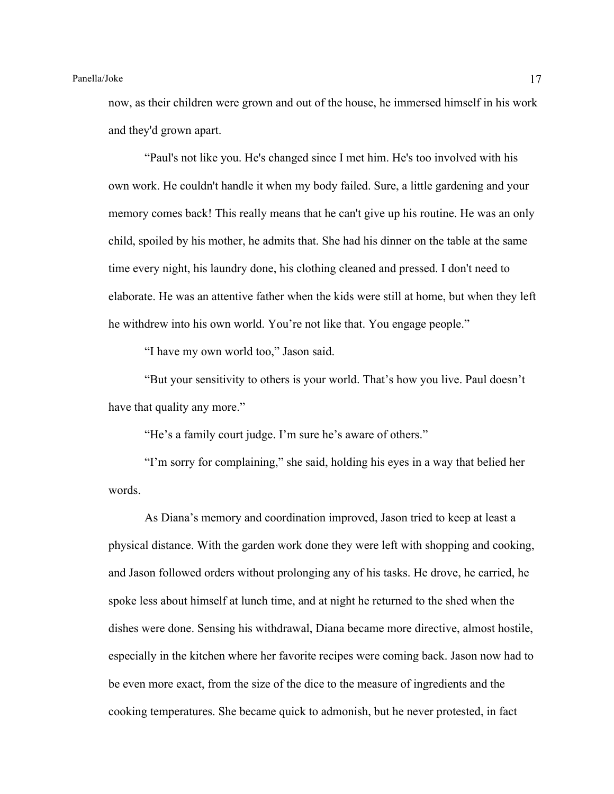now, as their children were grown and out of the house, he immersed himself in his work and they'd grown apart.

"Paul's not like you. He's changed since I met him. He's too involved with his own work. He couldn't handle it when my body failed. Sure, a little gardening and your memory comes back! This really means that he can't give up his routine. He was an only child, spoiled by his mother, he admits that. She had his dinner on the table at the same time every night, his laundry done, his clothing cleaned and pressed. I don't need to elaborate. He was an attentive father when the kids were still at home, but when they left he withdrew into his own world. You're not like that. You engage people."

"I have my own world too," Jason said.

"But your sensitivity to others is your world. That's how you live. Paul doesn't have that quality any more."

"He's a family court judge. I'm sure he's aware of others."

"I'm sorry for complaining," she said, holding his eyes in a way that belied her words.

As Diana's memory and coordination improved, Jason tried to keep at least a physical distance. With the garden work done they were left with shopping and cooking, and Jason followed orders without prolonging any of his tasks. He drove, he carried, he spoke less about himself at lunch time, and at night he returned to the shed when the dishes were done. Sensing his withdrawal, Diana became more directive, almost hostile, especially in the kitchen where her favorite recipes were coming back. Jason now had to be even more exact, from the size of the dice to the measure of ingredients and the cooking temperatures. She became quick to admonish, but he never protested, in fact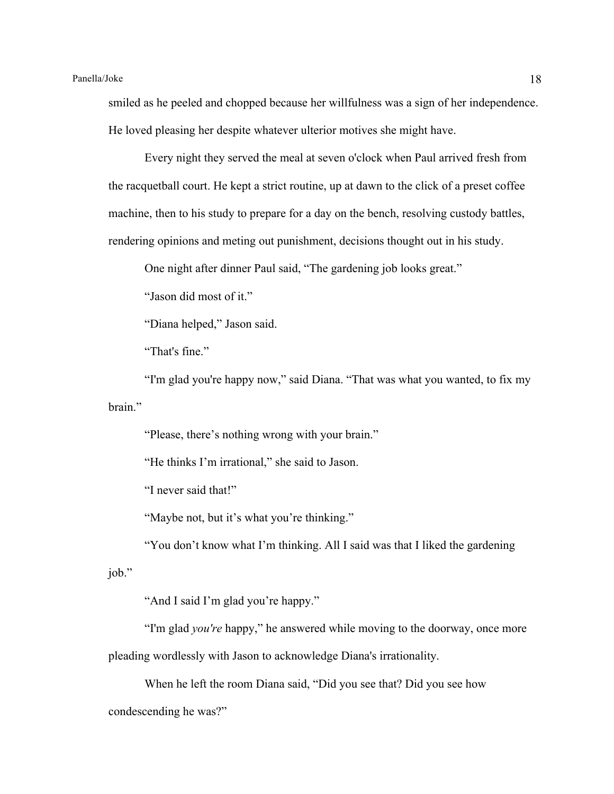smiled as he peeled and chopped because her willfulness was a sign of her independence. He loved pleasing her despite whatever ulterior motives she might have.

Every night they served the meal at seven o'clock when Paul arrived fresh from the racquetball court. He kept a strict routine, up at dawn to the click of a preset coffee machine, then to his study to prepare for a day on the bench, resolving custody battles, rendering opinions and meting out punishment, decisions thought out in his study.

One night after dinner Paul said, "The gardening job looks great."

"Jason did most of it."

"Diana helped," Jason said.

"That's fine."

"I'm glad you're happy now," said Diana. "That was what you wanted, to fix my brain."

"Please, there's nothing wrong with your brain."

"He thinks I'm irrational," she said to Jason.

"I never said that!"

"Maybe not, but it's what you're thinking."

"You don't know what I'm thinking. All I said was that I liked the gardening job."

"And I said I'm glad you're happy."

"I'm glad *you're* happy," he answered while moving to the doorway, once more pleading wordlessly with Jason to acknowledge Diana's irrationality.

When he left the room Diana said, "Did you see that? Did you see how condescending he was?"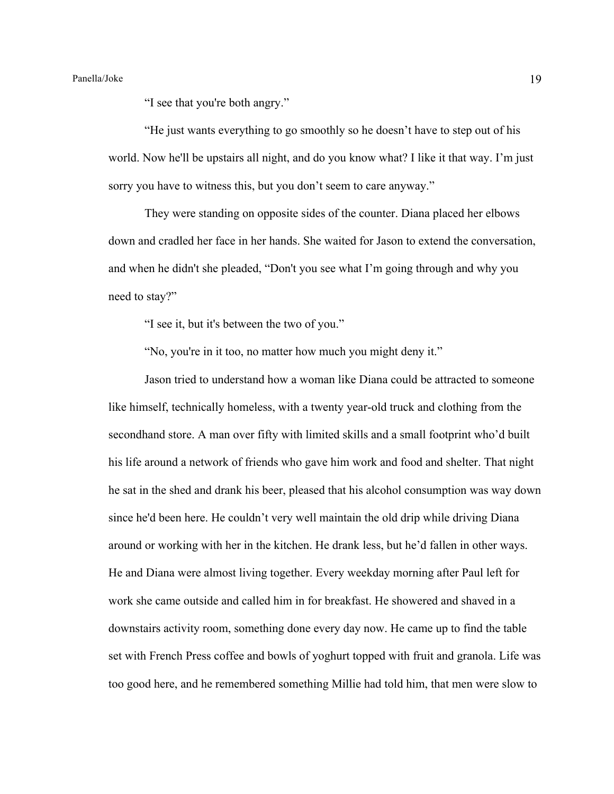"I see that you're both angry."

"He just wants everything to go smoothly so he doesn't have to step out of his world. Now he'll be upstairs all night, and do you know what? I like it that way. I'm just sorry you have to witness this, but you don't seem to care anyway."

They were standing on opposite sides of the counter. Diana placed her elbows down and cradled her face in her hands. She waited for Jason to extend the conversation, and when he didn't she pleaded, "Don't you see what I'm going through and why you need to stay?"

"I see it, but it's between the two of you."

"No, you're in it too, no matter how much you might deny it."

Jason tried to understand how a woman like Diana could be attracted to someone like himself, technically homeless, with a twenty year-old truck and clothing from the secondhand store. A man over fifty with limited skills and a small footprint who'd built his life around a network of friends who gave him work and food and shelter. That night he sat in the shed and drank his beer, pleased that his alcohol consumption was way down since he'd been here. He couldn't very well maintain the old drip while driving Diana around or working with her in the kitchen. He drank less, but he'd fallen in other ways. He and Diana were almost living together. Every weekday morning after Paul left for work she came outside and called him in for breakfast. He showered and shaved in a downstairs activity room, something done every day now. He came up to find the table set with French Press coffee and bowls of yoghurt topped with fruit and granola. Life was too good here, and he remembered something Millie had told him, that men were slow to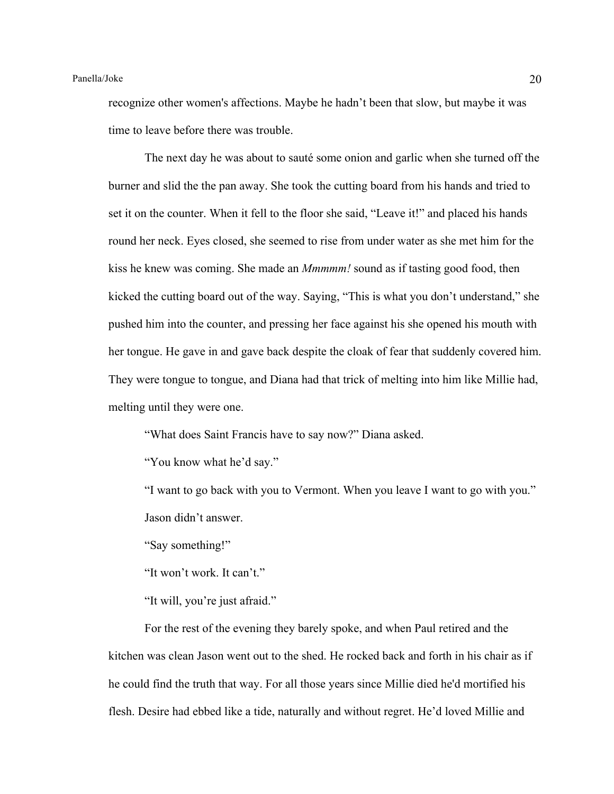recognize other women's affections. Maybe he hadn't been that slow, but maybe it was time to leave before there was trouble.

The next day he was about to sauté some onion and garlic when she turned off the burner and slid the the pan away. She took the cutting board from his hands and tried to set it on the counter. When it fell to the floor she said, "Leave it!" and placed his hands round her neck. Eyes closed, she seemed to rise from under water as she met him for the kiss he knew was coming. She made an *Mmmmm!* sound as if tasting good food, then kicked the cutting board out of the way. Saying, "This is what you don't understand," she pushed him into the counter, and pressing her face against his she opened his mouth with her tongue. He gave in and gave back despite the cloak of fear that suddenly covered him. They were tongue to tongue, and Diana had that trick of melting into him like Millie had, melting until they were one.

"What does Saint Francis have to say now?" Diana asked.

"You know what he'd say."

"I want to go back with you to Vermont. When you leave I want to go with you." Jason didn't answer.

"Say something!"

"It won't work. It can't."

"It will, you're just afraid."

For the rest of the evening they barely spoke, and when Paul retired and the kitchen was clean Jason went out to the shed. He rocked back and forth in his chair as if he could find the truth that way. For all those years since Millie died he'd mortified his flesh. Desire had ebbed like a tide, naturally and without regret. He'd loved Millie and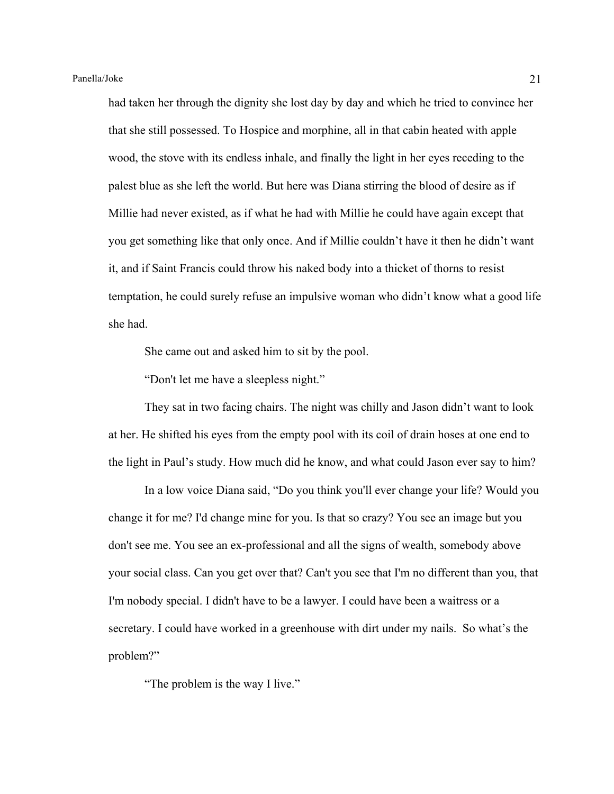had taken her through the dignity she lost day by day and which he tried to convince her that she still possessed. To Hospice and morphine, all in that cabin heated with apple wood, the stove with its endless inhale, and finally the light in her eyes receding to the palest blue as she left the world. But here was Diana stirring the blood of desire as if Millie had never existed, as if what he had with Millie he could have again except that you get something like that only once. And if Millie couldn't have it then he didn't want it, and if Saint Francis could throw his naked body into a thicket of thorns to resist temptation, he could surely refuse an impulsive woman who didn't know what a good life she had.

She came out and asked him to sit by the pool.

"Don't let me have a sleepless night."

They sat in two facing chairs. The night was chilly and Jason didn't want to look at her. He shifted his eyes from the empty pool with its coil of drain hoses at one end to the light in Paul's study. How much did he know, and what could Jason ever say to him?

In a low voice Diana said, "Do you think you'll ever change your life? Would you change it for me? I'd change mine for you. Is that so crazy? You see an image but you don't see me. You see an ex-professional and all the signs of wealth, somebody above your social class. Can you get over that? Can't you see that I'm no different than you, that I'm nobody special. I didn't have to be a lawyer. I could have been a waitress or a secretary. I could have worked in a greenhouse with dirt under my nails. So what's the problem?"

"The problem is the way I live."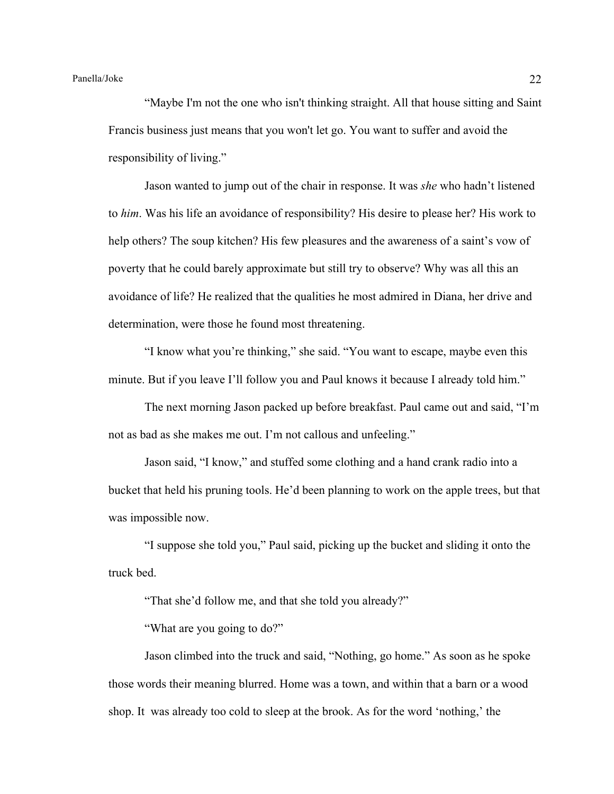"Maybe I'm not the one who isn't thinking straight. All that house sitting and Saint Francis business just means that you won't let go. You want to suffer and avoid the responsibility of living."

Jason wanted to jump out of the chair in response. It was *she* who hadn't listened to *him*. Was his life an avoidance of responsibility? His desire to please her? His work to help others? The soup kitchen? His few pleasures and the awareness of a saint's vow of poverty that he could barely approximate but still try to observe? Why was all this an avoidance of life? He realized that the qualities he most admired in Diana, her drive and determination, were those he found most threatening.

"I know what you're thinking," she said. "You want to escape, maybe even this minute. But if you leave I'll follow you and Paul knows it because I already told him."

The next morning Jason packed up before breakfast. Paul came out and said, "I'm not as bad as she makes me out. I'm not callous and unfeeling."

Jason said, "I know," and stuffed some clothing and a hand crank radio into a bucket that held his pruning tools. He'd been planning to work on the apple trees, but that was impossible now.

"I suppose she told you," Paul said, picking up the bucket and sliding it onto the truck bed.

"That she'd follow me, and that she told you already?"

"What are you going to do?"

Jason climbed into the truck and said, "Nothing, go home." As soon as he spoke those words their meaning blurred. Home was a town, and within that a barn or a wood shop. It was already too cold to sleep at the brook. As for the word 'nothing,' the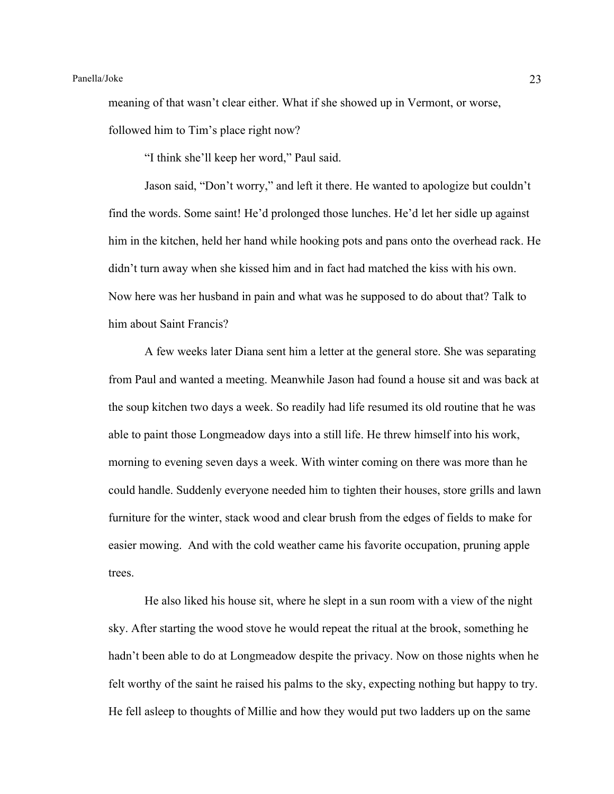meaning of that wasn't clear either. What if she showed up in Vermont, or worse, followed him to Tim's place right now?

"I think she'll keep her word," Paul said.

Jason said, "Don't worry," and left it there. He wanted to apologize but couldn't find the words. Some saint! He'd prolonged those lunches. He'd let her sidle up against him in the kitchen, held her hand while hooking pots and pans onto the overhead rack. He didn't turn away when she kissed him and in fact had matched the kiss with his own. Now here was her husband in pain and what was he supposed to do about that? Talk to him about Saint Francis?

A few weeks later Diana sent him a letter at the general store. She was separating from Paul and wanted a meeting. Meanwhile Jason had found a house sit and was back at the soup kitchen two days a week. So readily had life resumed its old routine that he was able to paint those Longmeadow days into a still life. He threw himself into his work, morning to evening seven days a week. With winter coming on there was more than he could handle. Suddenly everyone needed him to tighten their houses, store grills and lawn furniture for the winter, stack wood and clear brush from the edges of fields to make for easier mowing. And with the cold weather came his favorite occupation, pruning apple trees.

He also liked his house sit, where he slept in a sun room with a view of the night sky. After starting the wood stove he would repeat the ritual at the brook, something he hadn't been able to do at Longmeadow despite the privacy. Now on those nights when he felt worthy of the saint he raised his palms to the sky, expecting nothing but happy to try. He fell asleep to thoughts of Millie and how they would put two ladders up on the same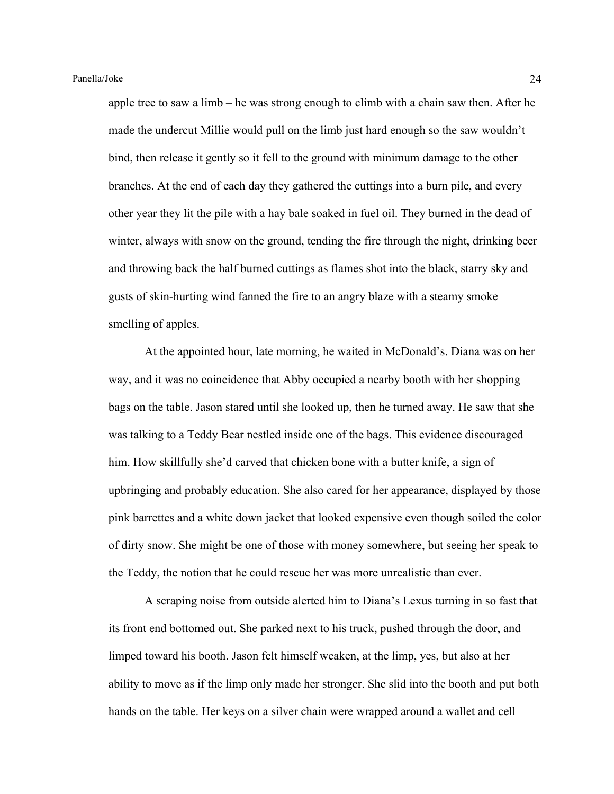apple tree to saw a limb – he was strong enough to climb with a chain saw then. After he made the undercut Millie would pull on the limb just hard enough so the saw wouldn't bind, then release it gently so it fell to the ground with minimum damage to the other branches. At the end of each day they gathered the cuttings into a burn pile, and every other year they lit the pile with a hay bale soaked in fuel oil. They burned in the dead of winter, always with snow on the ground, tending the fire through the night, drinking beer and throwing back the half burned cuttings as flames shot into the black, starry sky and gusts of skin-hurting wind fanned the fire to an angry blaze with a steamy smoke smelling of apples.

At the appointed hour, late morning, he waited in McDonald's. Diana was on her way, and it was no coincidence that Abby occupied a nearby booth with her shopping bags on the table. Jason stared until she looked up, then he turned away. He saw that she was talking to a Teddy Bear nestled inside one of the bags. This evidence discouraged him. How skillfully she'd carved that chicken bone with a butter knife, a sign of upbringing and probably education. She also cared for her appearance, displayed by those pink barrettes and a white down jacket that looked expensive even though soiled the color of dirty snow. She might be one of those with money somewhere, but seeing her speak to the Teddy, the notion that he could rescue her was more unrealistic than ever.

A scraping noise from outside alerted him to Diana's Lexus turning in so fast that its front end bottomed out. She parked next to his truck, pushed through the door, and limped toward his booth. Jason felt himself weaken, at the limp, yes, but also at her ability to move as if the limp only made her stronger. She slid into the booth and put both hands on the table. Her keys on a silver chain were wrapped around a wallet and cell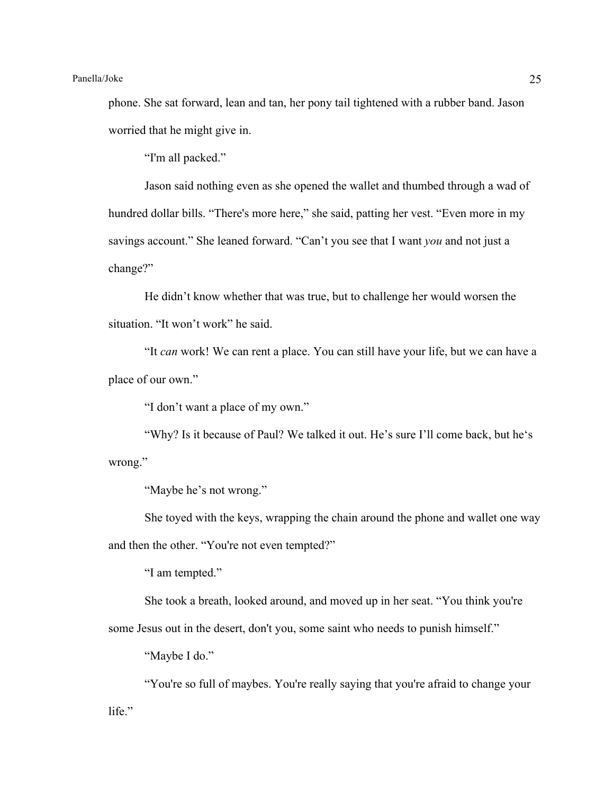phone. She sat forward, lean and tan, her pony tail tightened with a rubber band. Jason worried that he might give in.

"I'm all packed."

Jason said nothing even as she opened the wallet and thumbed through a wad of hundred dollar bills. "There's more here," she said, patting her vest. "Even more in my savings account." She leaned forward. "Can't you see that I want *you* and not just a change?"

He didn't know whether that was true, but to challenge her would worsen the situation. "It won't work" he said.

"It *can* work! We can rent a place. You can still have your life, but we can have a place of our own."

"I don't want a place of my own."

"Why? Is it because of Paul? We talked it out. He's sure I'll come back, but he's wrong."

"Maybe he's not wrong."

She toyed with the keys, wrapping the chain around the phone and wallet one way and then the other. "You're not even tempted?"

"I am tempted."

She took a breath, looked around, and moved up in her seat. "You think you're

some Jesus out in the desert, don't you, some saint who needs to punish himself."

"Maybe I do."

"You're so full of maybes. You're really saying that you're afraid to change your life."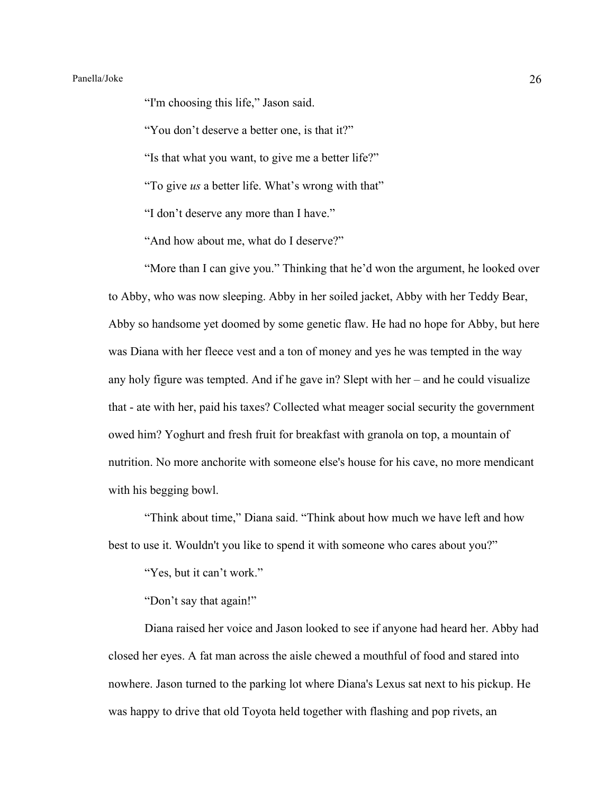"I'm choosing this life," Jason said.

"You don't deserve a better one, is that it?"

"Is that what you want, to give me a better life?"

"To give *us* a better life. What's wrong with that"

"I don't deserve any more than I have."

"And how about me, what do I deserve?"

"More than I can give you." Thinking that he'd won the argument, he looked over to Abby, who was now sleeping. Abby in her soiled jacket, Abby with her Teddy Bear, Abby so handsome yet doomed by some genetic flaw. He had no hope for Abby, but here was Diana with her fleece vest and a ton of money and yes he was tempted in the way any holy figure was tempted. And if he gave in? Slept with her – and he could visualize that - ate with her, paid his taxes? Collected what meager social security the government owed him? Yoghurt and fresh fruit for breakfast with granola on top, a mountain of nutrition. No more anchorite with someone else's house for his cave, no more mendicant with his begging bowl.

"Think about time," Diana said. "Think about how much we have left and how best to use it. Wouldn't you like to spend it with someone who cares about you?"

"Yes, but it can't work."

"Don't say that again!"

Diana raised her voice and Jason looked to see if anyone had heard her. Abby had closed her eyes. A fat man across the aisle chewed a mouthful of food and stared into nowhere. Jason turned to the parking lot where Diana's Lexus sat next to his pickup. He was happy to drive that old Toyota held together with flashing and pop rivets, an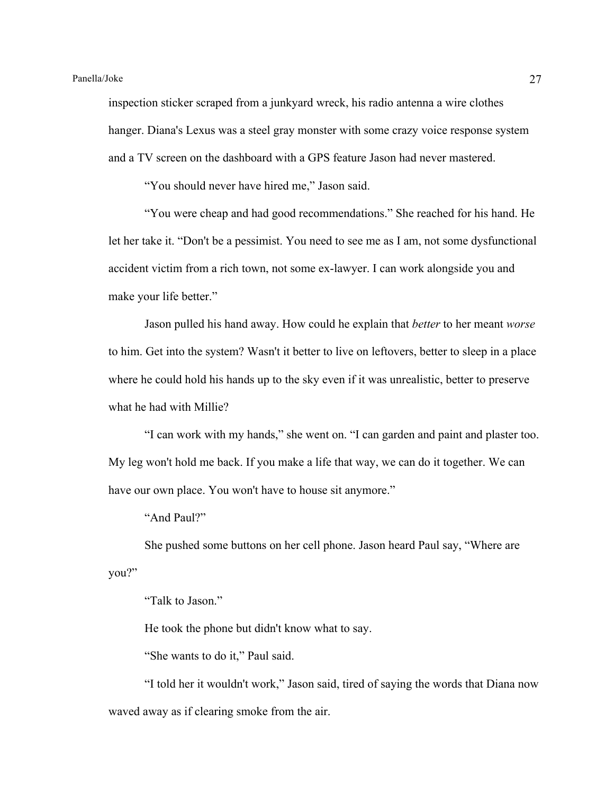inspection sticker scraped from a junkyard wreck, his radio antenna a wire clothes hanger. Diana's Lexus was a steel gray monster with some crazy voice response system and a TV screen on the dashboard with a GPS feature Jason had never mastered.

"You should never have hired me," Jason said.

"You were cheap and had good recommendations." She reached for his hand. He let her take it. "Don't be a pessimist. You need to see me as I am, not some dysfunctional accident victim from a rich town, not some ex-lawyer. I can work alongside you and make your life better."

Jason pulled his hand away. How could he explain that *better* to her meant *worse* to him. Get into the system? Wasn't it better to live on leftovers, better to sleep in a place where he could hold his hands up to the sky even if it was unrealistic, better to preserve what he had with Millie?

"I can work with my hands," she went on. "I can garden and paint and plaster too. My leg won't hold me back. If you make a life that way, we can do it together. We can have our own place. You won't have to house sit anymore."

"And Paul?"

She pushed some buttons on her cell phone. Jason heard Paul say, "Where are you?"

"Talk to Jason."

He took the phone but didn't know what to say.

"She wants to do it," Paul said.

"I told her it wouldn't work," Jason said, tired of saying the words that Diana now waved away as if clearing smoke from the air.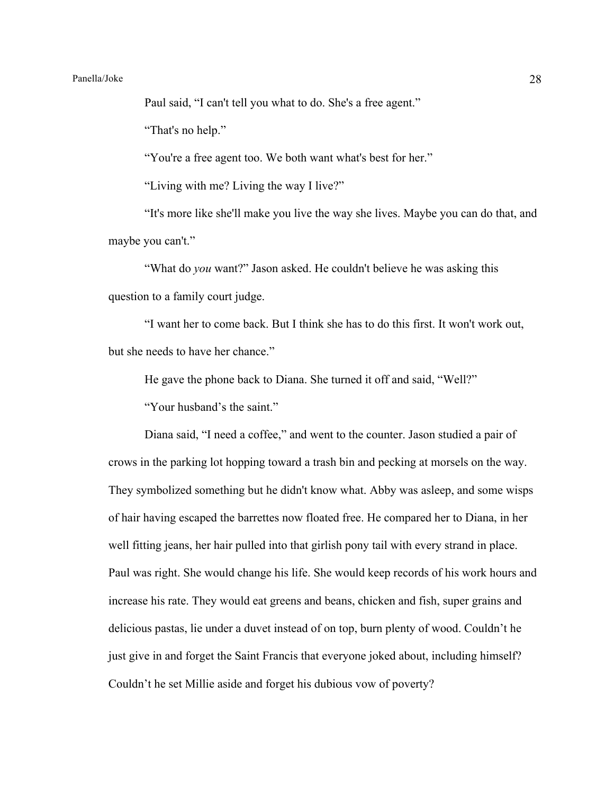# Panella/Joke 28

Paul said, "I can't tell you what to do. She's a free agent."

"That's no help."

"You're a free agent too. We both want what's best for her."

"Living with me? Living the way I live?"

"It's more like she'll make you live the way she lives. Maybe you can do that, and maybe you can't."

"What do *you* want?" Jason asked. He couldn't believe he was asking this question to a family court judge.

"I want her to come back. But I think she has to do this first. It won't work out, but she needs to have her chance."

He gave the phone back to Diana. She turned it off and said, "Well?"

"Your husband's the saint."

Diana said, "I need a coffee," and went to the counter. Jason studied a pair of crows in the parking lot hopping toward a trash bin and pecking at morsels on the way. They symbolized something but he didn't know what. Abby was asleep, and some wisps of hair having escaped the barrettes now floated free. He compared her to Diana, in her well fitting jeans, her hair pulled into that girlish pony tail with every strand in place. Paul was right. She would change his life. She would keep records of his work hours and increase his rate. They would eat greens and beans, chicken and fish, super grains and delicious pastas, lie under a duvet instead of on top, burn plenty of wood. Couldn't he just give in and forget the Saint Francis that everyone joked about, including himself? Couldn't he set Millie aside and forget his dubious vow of poverty?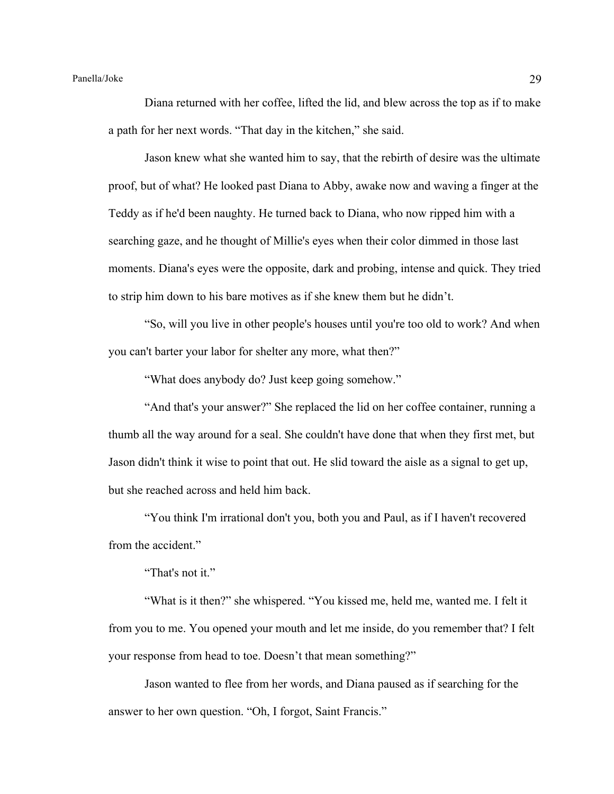Diana returned with her coffee, lifted the lid, and blew across the top as if to make a path for her next words. "That day in the kitchen," she said.

Jason knew what she wanted him to say, that the rebirth of desire was the ultimate proof, but of what? He looked past Diana to Abby, awake now and waving a finger at the Teddy as if he'd been naughty. He turned back to Diana, who now ripped him with a searching gaze, and he thought of Millie's eyes when their color dimmed in those last moments. Diana's eyes were the opposite, dark and probing, intense and quick. They tried to strip him down to his bare motives as if she knew them but he didn't.

"So, will you live in other people's houses until you're too old to work? And when you can't barter your labor for shelter any more, what then?"

"What does anybody do? Just keep going somehow."

"And that's your answer?" She replaced the lid on her coffee container, running a thumb all the way around for a seal. She couldn't have done that when they first met, but Jason didn't think it wise to point that out. He slid toward the aisle as a signal to get up, but she reached across and held him back.

"You think I'm irrational don't you, both you and Paul, as if I haven't recovered from the accident."

"That's not it."

"What is it then?" she whispered. "You kissed me, held me, wanted me. I felt it from you to me. You opened your mouth and let me inside, do you remember that? I felt your response from head to toe. Doesn't that mean something?"

Jason wanted to flee from her words, and Diana paused as if searching for the answer to her own question. "Oh, I forgot, Saint Francis."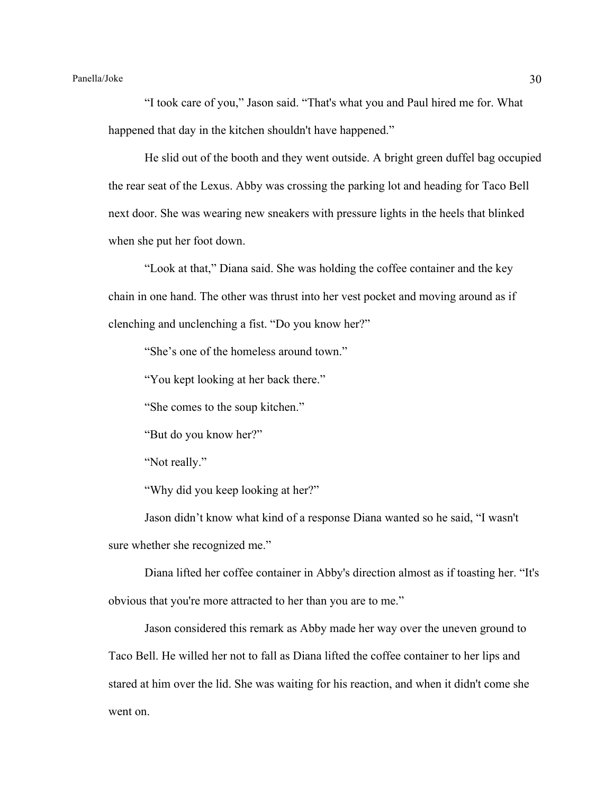"I took care of you," Jason said. "That's what you and Paul hired me for. What happened that day in the kitchen shouldn't have happened."

He slid out of the booth and they went outside. A bright green duffel bag occupied the rear seat of the Lexus. Abby was crossing the parking lot and heading for Taco Bell next door. She was wearing new sneakers with pressure lights in the heels that blinked when she put her foot down.

"Look at that," Diana said. She was holding the coffee container and the key chain in one hand. The other was thrust into her vest pocket and moving around as if clenching and unclenching a fist. "Do you know her?"

"She's one of the homeless around town."

"You kept looking at her back there."

"She comes to the soup kitchen."

"But do you know her?"

"Not really."

"Why did you keep looking at her?"

Jason didn't know what kind of a response Diana wanted so he said, "I wasn't sure whether she recognized me."

Diana lifted her coffee container in Abby's direction almost as if toasting her. "It's obvious that you're more attracted to her than you are to me."

Jason considered this remark as Abby made her way over the uneven ground to Taco Bell. He willed her not to fall as Diana lifted the coffee container to her lips and stared at him over the lid. She was waiting for his reaction, and when it didn't come she went on.